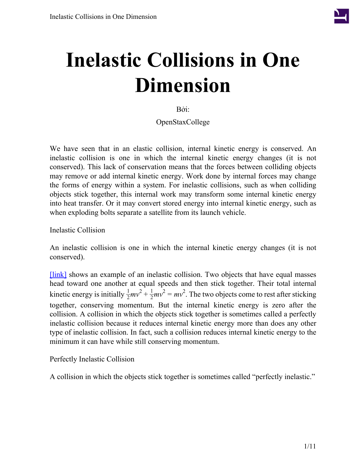

# **Inelastic Collisions in One Dimension**

Bởi:

OpenStaxCollege

We have seen that in an elastic collision, internal kinetic energy is conserved. An inelastic collision is one in which the internal kinetic energy changes (it is not conserved). This lack of conservation means that the forces between colliding objects may remove or add internal kinetic energy. Work done by internal forces may change the forms of energy within a system. For inelastic collisions, such as when colliding objects stick together, this internal work may transform some internal kinetic energy into heat transfer. Or it may convert stored energy into internal kinetic energy, such as when exploding bolts separate a satellite from its launch vehicle.

Inelastic Collision

An inelastic collision is one in which the internal kinetic energy changes (it is not conserved).

[\[link\]](#page-1-0) shows an example of an inelastic collision. Two objects that have equal masses head toward one another at equal speeds and then stick together. Their total internal kinetic energy is initially  $\frac{1}{2}mv^2 + \frac{1}{2}mv^2 = mv^2$ . The two objects come to rest after sticking together, conserving momentum. But the internal kinetic energy is zero after the collision. A collision in which the objects stick together is sometimes called a perfectly inelastic collision because it reduces internal kinetic energy more than does any other type of inelastic collision. In fact, such a collision reduces internal kinetic energy to the minimum it can have while still conserving momentum.

Perfectly Inelastic Collision

A collision in which the objects stick together is sometimes called "perfectly inelastic."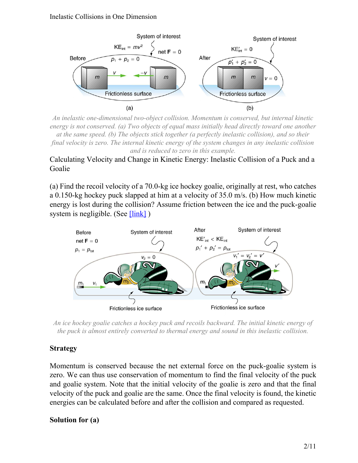<span id="page-1-0"></span>

*An inelastic one-dimensional two-object collision. Momentum is conserved, but internal kinetic energy is not conserved. (a) Two objects of equal mass initially head directly toward one another at the same speed. (b) The objects stick together (a perfectly inelastic collision), and so their final velocity is zero. The internal kinetic energy of the system changes in any inelastic collision and is reduced to zero in this example.*

# Calculating Velocity and Change in Kinetic Energy: Inelastic Collision of a Puck and a Goalie

<span id="page-1-1"></span>(a) Find the recoil velocity of a 70.0-kg ice hockey goalie, originally at rest, who catches a 0.150-kg hockey puck slapped at him at a velocity of 35.0 m/s. (b) How much kinetic energy is lost during the collision? Assume friction between the ice and the puck-goalie system is negligible. (See  $[\text{link}]$ )



*An ice hockey goalie catches a hockey puck and recoils backward. The initial kinetic energy of the puck is almost entirely converted to thermal energy and sound in this inelastic collision.*

# **Strategy**

Momentum is conserved because the net external force on the puck-goalie system is zero. We can thus use conservation of momentum to find the final velocity of the puck and goalie system. Note that the initial velocity of the goalie is zero and that the final velocity of the puck and goalie are the same. Once the final velocity is found, the kinetic energies can be calculated before and after the collision and compared as requested.

# **Solution for (a)**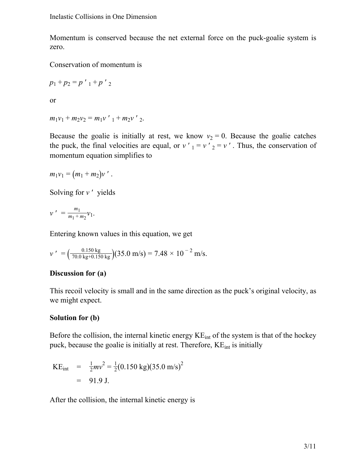Momentum is conserved because the net external force on the puck-goalie system is zero.

Conservation of momentum is

$$
p_1 + p_2 = p'_{1} + p'_{2}
$$

or

$$
m_1v_1 + m_2v_2 = m_1v'_{1} + m_2v'_{2}.
$$

Because the goalie is initially at rest, we know  $v_2 = 0$ . Because the goalie catches the puck, the final velocities are equal, or  $v'_{1} = v'_{2} = v'$ . Thus, the conservation of momentum equation simplifies to

$$
m_1v_1 = (m_1 + m_2)v'.
$$

Solving for *v* ' yields

$$
v' = \frac{m_1}{m_1 + m_2} v_1.
$$

Entering known values in this equation, we get

$$
\nu' = \left(\frac{0.150 \text{ kg}}{70.0 \text{ kg} + 0.150 \text{ kg}}\right) (35.0 \text{ m/s}) = 7.48 \times 10^{-2} \text{ m/s}.
$$

#### **Discussion for (a)**

This recoil velocity is small and in the same direction as the puck's original velocity, as we might expect.

#### **Solution for (b)**

Before the collision, the internal kinetic energy  $KE<sub>int</sub>$  of the system is that of the hockey puck, because the goalie is initially at rest. Therefore, KE<sub>int</sub> is initially

KE<sub>int</sub> = 
$$
\frac{1}{2}mv^2 = \frac{1}{2}(0.150 \text{ kg})(35.0 \text{ m/s})^2
$$
  
= 91.9 J.

After the collision, the internal kinetic energy is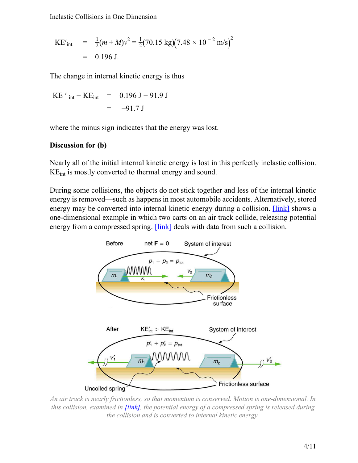Inelastic Collisions in One Dimension

$$
KE'_{int} = \frac{1}{2}(m+M)v^2 = \frac{1}{2}(70.15 \text{ kg})(7.48 \times 10^{-2} \text{ m/s})^2
$$
  
= 0.196 J.

The change in internal kinetic energy is thus

KE' in 
$$
-KE_{int}
$$
 = 0.196 J – 91.9 J  
= -91.7 J

where the minus sign indicates that the energy was lost.

#### **Discussion for (b)**

Nearly all of the initial internal kinetic energy is lost in this perfectly inelastic collision. KEint is mostly converted to thermal energy and sound.

<span id="page-3-0"></span>During some collisions, the objects do not stick together and less of the internal kinetic energy is removed—such as happens in most automobile accidents. Alternatively, stored energy may be converted into internal kinetic energy during a collision. **[\[link\]](#page-3-0)** shows a one-dimensional example in which two carts on an air track collide, releasing potential energy from a compressed spring. **[\[link\]](#page-4-0)** deals with data from such a collision.



*An air track is nearly frictionless, so that momentum is conserved. Motion is one-dimensional. In this collision, examined in [\[link\],](#page-4-0) the potential energy of a compressed spring is released during the collision and is converted to internal kinetic energy.*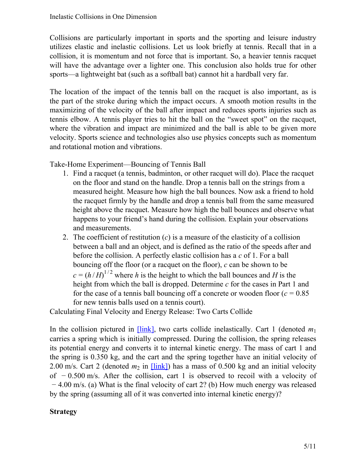Collisions are particularly important in sports and the sporting and leisure industry utilizes elastic and inelastic collisions. Let us look briefly at tennis. Recall that in a collision, it is momentum and not force that is important. So, a heavier tennis racquet will have the advantage over a lighter one. This conclusion also holds true for other sports—a lightweight bat (such as a softball bat) cannot hit a hardball very far.

The location of the impact of the tennis ball on the racquet is also important, as is the part of the stroke during which the impact occurs. A smooth motion results in the maximizing of the velocity of the ball after impact and reduces sports injuries such as tennis elbow. A tennis player tries to hit the ball on the "sweet spot" on the racquet, where the vibration and impact are minimized and the ball is able to be given more velocity. Sports science and technologies also use physics concepts such as momentum and rotational motion and vibrations.

Take-Home Experiment—Bouncing of Tennis Ball

- 1. Find a racquet (a tennis, badminton, or other racquet will do). Place the racquet on the floor and stand on the handle. Drop a tennis ball on the strings from a measured height. Measure how high the ball bounces. Now ask a friend to hold the racquet firmly by the handle and drop a tennis ball from the same measured height above the racquet. Measure how high the ball bounces and observe what happens to your friend's hand during the collision. Explain your observations and measurements.
- 2. The coefficient of restitution (*c*) is a measure of the elasticity of a collision between a ball and an object, and is defined as the ratio of the speeds after and before the collision. A perfectly elastic collision has a *c* of 1. For a ball bouncing off the floor (or a racquet on the floor), *c* can be shown to be  $c = (h/H)^{1/2}$  where *h* is the height to which the ball bounces and *H* is the height from which the ball is dropped. Determine *c* for the cases in Part 1 and for the case of a tennis ball bouncing off a concrete or wooden floor  $(c = 0.85$ for new tennis balls used on a tennis court).

<span id="page-4-0"></span>Calculating Final Velocity and Energy Release: Two Carts Collide

In the collision pictured in  $[\text{link}]$ , two carts collide inelastically. Cart 1 (denoted  $m_1$ ) carries a spring which is initially compressed. During the collision, the spring releases its potential energy and converts it to internal kinetic energy. The mass of cart 1 and the spring is 0.350 kg, and the cart and the spring together have an initial velocity of 2.00 m/s. Cart 2 (denoted  $m_2$  in  $[\text{link}])$  has a mass of 0.500 kg and an initial velocity of − 0.500 m/s. After the collision, cart 1 is observed to recoil with a velocity of − 4.00 m/s. (a) What is the final velocity of cart 2? (b) How much energy was released by the spring (assuming all of it was converted into internal kinetic energy)?

# **Strategy**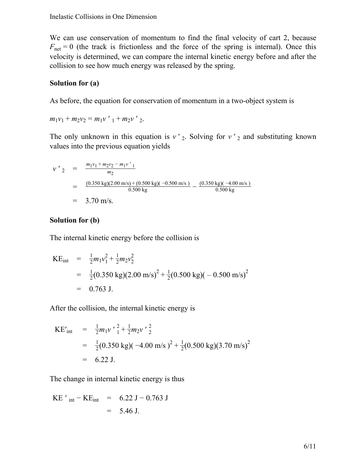We can use conservation of momentum to find the final velocity of cart 2, because  $F_{\text{net}} = 0$  (the track is frictionless and the force of the spring is internal). Once this velocity is determined, we can compare the internal kinetic energy before and after the collision to see how much energy was released by the spring.

#### **Solution for (a)**

As before, the equation for conservation of momentum in a two-object system is

$$
m_1v_1 + m_2v_2 = m_1v'_{1} + m_2v'_{2}.
$$

The only unknown in this equation is  $v'$ <sub>2</sub>. Solving for  $v'$ <sub>2</sub> and substituting known values into the previous equation yields

$$
v'_{2} = \frac{m_{1}v_{1} + m_{2}v_{2} - m_{1}v'_{1}}{m_{2}}
$$
  
= 
$$
\frac{(0.350 \text{ kg})(2.00 \text{ m/s}) + (0.500 \text{ kg})(-0.500 \text{ m/s})}{0.500 \text{ kg}} - \frac{(0.350 \text{ kg})(-4.00 \text{ m/s})}{0.500 \text{ kg}}
$$
  
= 3.70 m/s.

#### **Solution for (b)**

The internal kinetic energy before the collision is

KE<sub>int</sub> = 
$$
\frac{1}{2}m_1v_1^2 + \frac{1}{2}m_2v_2^2
$$
  
=  $\frac{1}{2}(0.350 \text{ kg})(2.00 \text{ m/s})^2 + \frac{1}{2}(0.500 \text{ kg})(-0.500 \text{ m/s})^2$   
= 0.763 J.

After the collision, the internal kinetic energy is

$$
KE'_{int} = \frac{1}{2}m_1v' \frac{2}{1} + \frac{1}{2}m_2v' \frac{2}{2}
$$
  
=  $\frac{1}{2}(0.350 \text{ kg})(-4.00 \text{ m/s})^2 + \frac{1}{2}(0.500 \text{ kg})(3.70 \text{ m/s})^2$   
= 6.22 J.

The change in internal kinetic energy is thus

KE' in – KE<sub>int</sub> = 
$$
6.22 \text{ J} - 0.763 \text{ J}
$$
  
=  $5.46 \text{ J}.$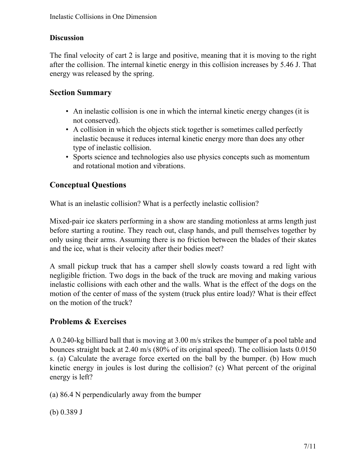# **Discussion**

The final velocity of cart 2 is large and positive, meaning that it is moving to the right after the collision. The internal kinetic energy in this collision increases by 5.46 J. That energy was released by the spring.

# **Section Summary**

- An inelastic collision is one in which the internal kinetic energy changes (it is not conserved).
- A collision in which the objects stick together is sometimes called perfectly inelastic because it reduces internal kinetic energy more than does any other type of inelastic collision.
- Sports science and technologies also use physics concepts such as momentum and rotational motion and vibrations.

# **Conceptual Questions**

What is an inelastic collision? What is a perfectly inelastic collision?

Mixed-pair ice skaters performing in a show are standing motionless at arms length just before starting a routine. They reach out, clasp hands, and pull themselves together by only using their arms. Assuming there is no friction between the blades of their skates and the ice, what is their velocity after their bodies meet?

A small pickup truck that has a camper shell slowly coasts toward a red light with negligible friction. Two dogs in the back of the truck are moving and making various inelastic collisions with each other and the walls. What is the effect of the dogs on the motion of the center of mass of the system (truck plus entire load)? What is their effect on the motion of the truck?

# **Problems & Exercises**

A 0.240-kg billiard ball that is moving at 3.00 m/s strikes the bumper of a pool table and bounces straight back at 2.40 m/s (80% of its original speed). The collision lasts 0.0150 s. (a) Calculate the average force exerted on the ball by the bumper. (b) How much kinetic energy in joules is lost during the collision? (c) What percent of the original energy is left?

(a) 86.4 N perpendicularly away from the bumper

(b) 0.389 J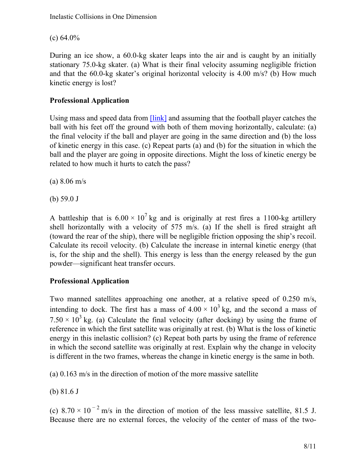(c)  $64.0\%$ 

During an ice show, a 60.0-kg skater leaps into the air and is caught by an initially stationary 75.0-kg skater. (a) What is their final velocity assuming negligible friction and that the 60.0-kg skater's original horizontal velocity is 4.00 m/s? (b) How much kinetic energy is lost?

# **Professional Application**

Using mass and speed data from **[\[link\]](/m42156#fs-id1356444)** and assuming that the football player catches the ball with his feet off the ground with both of them moving horizontally, calculate: (a) the final velocity if the ball and player are going in the same direction and (b) the loss of kinetic energy in this case. (c) Repeat parts (a) and (b) for the situation in which the ball and the player are going in opposite directions. Might the loss of kinetic energy be related to how much it hurts to catch the pass?

(a) 8.06 m/s

(b) 59.0 J

A battleship that is  $6.00 \times 10^7$  kg and is originally at rest fires a 1100-kg artillery shell horizontally with a velocity of 575 m/s. (a) If the shell is fired straight aft (toward the rear of the ship), there will be negligible friction opposing the ship's recoil. Calculate its recoil velocity. (b) Calculate the increase in internal kinetic energy (that is, for the ship and the shell). This energy is less than the energy released by the gun powder—significant heat transfer occurs.

# **Professional Application**

Two manned satellites approaching one another, at a relative speed of 0.250 m/s, intending to dock. The first has a mass of  $4.00 \times 10^3$  kg, and the second a mass of  $7.50 \times 10^3$  kg. (a) Calculate the final velocity (after docking) by using the frame of reference in which the first satellite was originally at rest. (b) What is the loss of kinetic energy in this inelastic collision? (c) Repeat both parts by using the frame of reference in which the second satellite was originally at rest. Explain why the change in velocity is different in the two frames, whereas the change in kinetic energy is the same in both.

(a) 0.163 m/s in the direction of motion of the more massive satellite

(b) 81.6 J

(c)  $8.70 \times 10^{-2}$  m/s in the direction of motion of the less massive satellite, 81.5 J. Because there are no external forces, the velocity of the center of mass of the two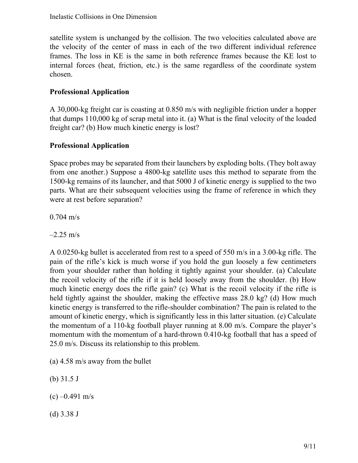satellite system is unchanged by the collision. The two velocities calculated above are the velocity of the center of mass in each of the two different individual reference frames. The loss in KE is the same in both reference frames because the KE lost to internal forces (heat, friction, etc.) is the same regardless of the coordinate system chosen.

# **Professional Application**

A 30,000-kg freight car is coasting at 0.850 m/s with negligible friction under a hopper that dumps 110,000 kg of scrap metal into it. (a) What is the final velocity of the loaded freight car? (b) How much kinetic energy is lost?

# **Professional Application**

Space probes may be separated from their launchers by exploding bolts. (They bolt away from one another.) Suppose a 4800-kg satellite uses this method to separate from the 1500-kg remains of its launcher, and that 5000 J of kinetic energy is supplied to the two parts. What are their subsequent velocities using the frame of reference in which they were at rest before separation?

0.704 m/s

 $-2.25$  m/s

A 0.0250-kg bullet is accelerated from rest to a speed of 550 m/s in a 3.00-kg rifle. The pain of the rifle's kick is much worse if you hold the gun loosely a few centimeters from your shoulder rather than holding it tightly against your shoulder. (a) Calculate the recoil velocity of the rifle if it is held loosely away from the shoulder. (b) How much kinetic energy does the rifle gain? (c) What is the recoil velocity if the rifle is held tightly against the shoulder, making the effective mass 28.0 kg? (d) How much kinetic energy is transferred to the rifle-shoulder combination? The pain is related to the amount of kinetic energy, which is significantly less in this latter situation. (e) Calculate the momentum of a 110-kg football player running at 8.00 m/s. Compare the player's momentum with the momentum of a hard-thrown 0.410-kg football that has a speed of 25.0 m/s. Discuss its relationship to this problem.

- (a) 4.58 m/s away from the bullet
- (b) 31.5 J
- $(c) -0.491$  m/s
- (d) 3.38 J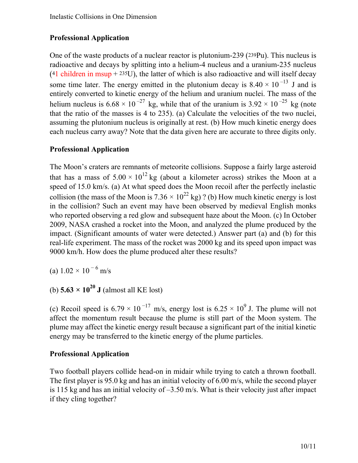# **Professional Application**

One of the waste products of a nuclear reactor is plutonium-239 ( <sup>239</sup>Pu). This nucleus is radioactive and decays by splitting into a helium-4 nucleus and a uranium-235 nucleus  $(41$  children in msup + 235U), the latter of which is also radioactive and will itself decay some time later. The energy emitted in the plutonium decay is  $8.40 \times 10^{-13}$  J and is entirely converted to kinetic energy of the helium and uranium nuclei. The mass of the helium nucleus is  $6.68 \times 10^{-27}$  kg, while that of the uranium is  $3.92 \times 10^{-25}$  kg (note that the ratio of the masses is 4 to 235). (a) Calculate the velocities of the two nuclei, assuming the plutonium nucleus is originally at rest. (b) How much kinetic energy does each nucleus carry away? Note that the data given here are accurate to three digits only.

#### **Professional Application**

The Moon's craters are remnants of meteorite collisions. Suppose a fairly large asteroid that has a mass of  $5.00 \times 10^{12}$  kg (about a kilometer across) strikes the Moon at a speed of 15.0 km/s. (a) At what speed does the Moon recoil after the perfectly inelastic collision (the mass of the Moon is  $7.36 \times 10^{22}$  kg) ? (b) How much kinetic energy is lost in the collision? Such an event may have been observed by medieval English monks who reported observing a red glow and subsequent haze about the Moon. (c) In October 2009, NASA crashed a rocket into the Moon, and analyzed the plume produced by the impact. (Significant amounts of water were detected.) Answer part (a) and (b) for this real-life experiment. The mass of the rocket was 2000 kg and its speed upon impact was 9000 km/h. How does the plume produced alter these results?

(a)  $1.02 \times 10^{-6}$  m/s

(b)  $5.63 \times 10^{20}$  **J** (almost all KE lost)

(c) Recoil speed is 6.79  $\times$  10<sup>-17</sup> m/s, energy lost is 6.25  $\times$  10<sup>9</sup> J. The plume will not affect the momentum result because the plume is still part of the Moon system. The plume may affect the kinetic energy result because a significant part of the initial kinetic energy may be transferred to the kinetic energy of the plume particles.

# **Professional Application**

Two football players collide head-on in midair while trying to catch a thrown football. The first player is 95.0 kg and has an initial velocity of 6.00 m/s, while the second player is 115 kg and has an initial velocity of –3.50 m/s. What is their velocity just after impact if they cling together?